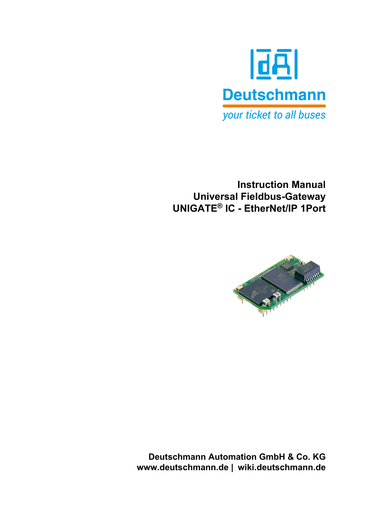

**Instruction Manual Universal Fieldbus-Gateway UNIGATE® IC - EtherNet/IP 1Port**



**Deutschmann Automation GmbH & Co. KG www.deutschmann.de | wiki.deutschmann.de**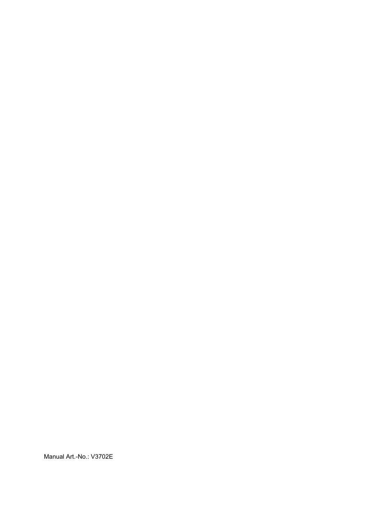Manual Art.-No.: V3702E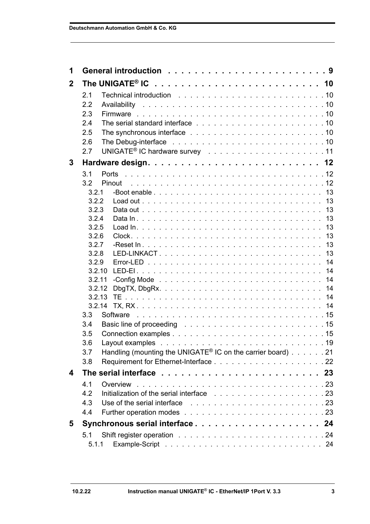| 1              |                                                                                                                                |  |
|----------------|--------------------------------------------------------------------------------------------------------------------------------|--|
| $\overline{2}$ |                                                                                                                                |  |
|                | 2.1                                                                                                                            |  |
|                | 2.2                                                                                                                            |  |
|                | 2.3                                                                                                                            |  |
|                | 2.4                                                                                                                            |  |
|                | 2.5                                                                                                                            |  |
|                | The Debug-interface resonal contract to contract the contract of the Debug-interface resonal contract to contract the U<br>2.6 |  |
|                | 2.7                                                                                                                            |  |
| 3              |                                                                                                                                |  |
|                | 3.1                                                                                                                            |  |
|                | 3.2<br>Pinout                                                                                                                  |  |
|                | 3.2.1                                                                                                                          |  |
|                | 3.2.2                                                                                                                          |  |
|                | 3.2.3<br>3.2.4                                                                                                                 |  |
|                | 3.2.5                                                                                                                          |  |
|                | 3.2.6                                                                                                                          |  |
|                | 3.2.7                                                                                                                          |  |
|                | 3.2.8                                                                                                                          |  |
|                | 3.2.9                                                                                                                          |  |
|                | 3.2.10                                                                                                                         |  |
|                | 3.2.11                                                                                                                         |  |
|                | 3.2.12<br>3.2.13                                                                                                               |  |
|                | 3.2.14                                                                                                                         |  |
|                | 3.3                                                                                                                            |  |
|                | Basic line of proceeding research and contact the contact of the contact of the contact of the contact of the c<br>3.4         |  |
|                | 3.5                                                                                                                            |  |
|                | Lavout examples<br>3.6                                                                                                         |  |
|                | Handling (mounting the UNIGATE <sup>®</sup> IC on the carrier board) 21<br>3.7                                                 |  |
|                | 3.8                                                                                                                            |  |
| 4              |                                                                                                                                |  |
|                | 4.1                                                                                                                            |  |
|                | 4.2                                                                                                                            |  |
|                | 4.3<br>Use of the serial interface resources and series and series and series are series and series of the series of           |  |
|                | 4.4                                                                                                                            |  |
| 5              |                                                                                                                                |  |
|                | 5.1                                                                                                                            |  |
|                | 5.1.1                                                                                                                          |  |
|                |                                                                                                                                |  |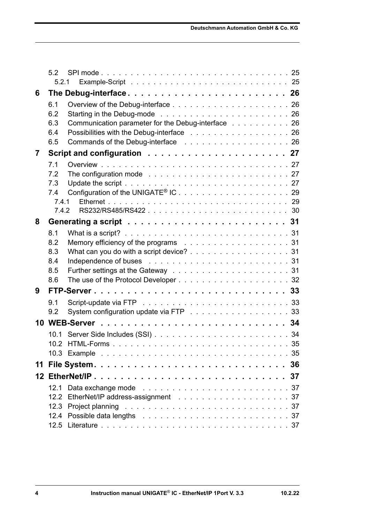|    | 52         |                                                                                                                          |  |
|----|------------|--------------------------------------------------------------------------------------------------------------------------|--|
|    | 5.2.1      |                                                                                                                          |  |
| 6  |            |                                                                                                                          |  |
|    | 6.1        |                                                                                                                          |  |
|    | 6.2        |                                                                                                                          |  |
|    | 6.3<br>6.4 | Communication parameter for the Debug-interface 26                                                                       |  |
|    | 6.5        | Possibilities with the Debug-interface 26                                                                                |  |
| 7  |            |                                                                                                                          |  |
|    | 7.1        |                                                                                                                          |  |
|    | 7.2        | The configuration mode response to the contract of the configuration mode response to the contract of the contract of 27 |  |
|    | 7.3        |                                                                                                                          |  |
|    | 7.4        |                                                                                                                          |  |
|    | 7.4.1      |                                                                                                                          |  |
|    | 742        |                                                                                                                          |  |
| 8  |            |                                                                                                                          |  |
|    | 8.1        |                                                                                                                          |  |
|    | 8.2        |                                                                                                                          |  |
|    | 8.3        | What can you do with a script device? 31                                                                                 |  |
|    | 8.4        |                                                                                                                          |  |
|    | 8.5        |                                                                                                                          |  |
|    | 8.6        |                                                                                                                          |  |
| 9  |            |                                                                                                                          |  |
|    | 9.1        |                                                                                                                          |  |
|    | 9.2        | System configuration update via FTP 33                                                                                   |  |
|    |            |                                                                                                                          |  |
|    | 10.1       |                                                                                                                          |  |
|    |            |                                                                                                                          |  |
|    |            |                                                                                                                          |  |
| 11 |            |                                                                                                                          |  |
|    |            |                                                                                                                          |  |
|    | 12.1       |                                                                                                                          |  |
|    | 12.2       |                                                                                                                          |  |
|    |            |                                                                                                                          |  |
|    | 12.4       |                                                                                                                          |  |
|    |            |                                                                                                                          |  |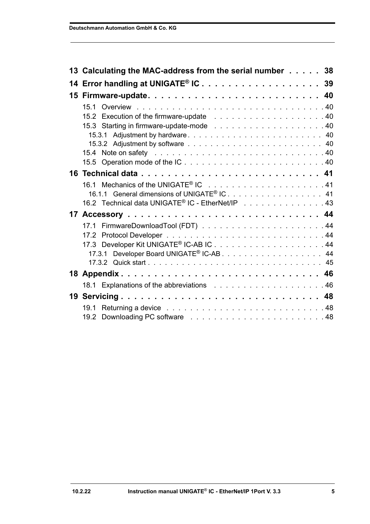| 13 Calculating the MAC-address from the serial number 38     |
|--------------------------------------------------------------|
| 14 Error handling at UNIGATE <sup>®</sup> IC 39              |
|                                                              |
| 15.1                                                         |
|                                                              |
|                                                              |
| 15.3.1 Adjustment by hardware 40                             |
|                                                              |
| 15.5 Operation mode of the IC40                              |
|                                                              |
|                                                              |
| 16.1.1 General dimensions of UNIGATE <sup>®</sup> IC. 41     |
| 16.2 Technical data UNIGATE <sup>®</sup> IC - EtherNet/IP 43 |
|                                                              |
|                                                              |
|                                                              |
|                                                              |
|                                                              |
|                                                              |
|                                                              |
|                                                              |
| 19 Servicing 48                                              |
| 19.1                                                         |
|                                                              |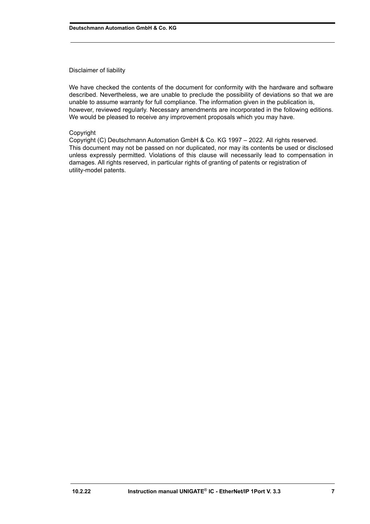#### Disclaimer of liability

We have checked the contents of the document for conformity with the hardware and software described. Nevertheless, we are unable to preclude the possibility of deviations so that we are unable to assume warranty for full compliance. The information given in the publication is, however, reviewed regularly. Necessary amendments are incorporated in the following editions. We would be pleased to receive any improvement proposals which you may have.

#### Copyright

Copyright (C) Deutschmann Automation GmbH & Co. KG 1997 – 2022. All rights reserved. This document may not be passed on nor duplicated, nor may its contents be used or disclosed unless expressly permitted. Violations of this clause will necessarily lead to compensation in damages. All rights reserved, in particular rights of granting of patents or registration of utility-model patents.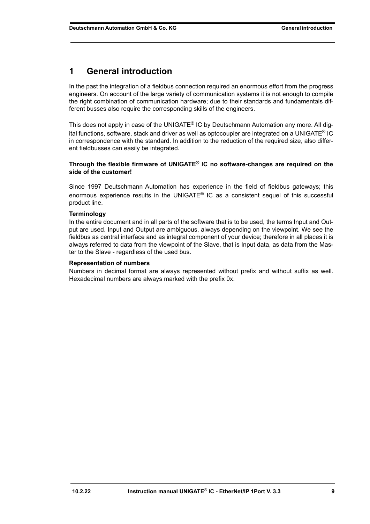# <span id="page-8-0"></span>**1 General introduction**

In the past the integration of a fieldbus connection required an enormous effort from the progress engineers. On account of the large variety of communication systems it is not enough to compile the right combination of communication hardware; due to their standards and fundamentals different busses also require the corresponding skills of the engineers.

This does not apply in case of the UNIGATE<sup>®</sup> IC by Deutschmann Automation any more. All digital functions, software, stack and driver as well as optocoupler are integrated on a UNIGATE® IC in correspondence with the standard. In addition to the reduction of the required size, also different fieldbusses can easily be integrated.

#### **Through the flexible firmware of UNIGATE® IC no software-changes are required on the side of the customer!**

Since 1997 Deutschmann Automation has experience in the field of fieldbus gateways; this enormous experience results in the UNIGATE<sup>®</sup> IC as a consistent sequel of this successful product line.

#### **Terminology**

In the entire document and in all parts of the software that is to be used, the terms Input and Output are used. Input and Output are ambiguous, always depending on the viewpoint. We see the fieldbus as central interface and as integral component of your device; therefore in all places it is always referred to data from the viewpoint of the Slave, that is Input data, as data from the Master to the Slave - regardless of the used bus.

#### **Representation of numbers**

Numbers in decimal format are always represented without prefix and without suffix as well. Hexadecimal numbers are always marked with the prefix 0x.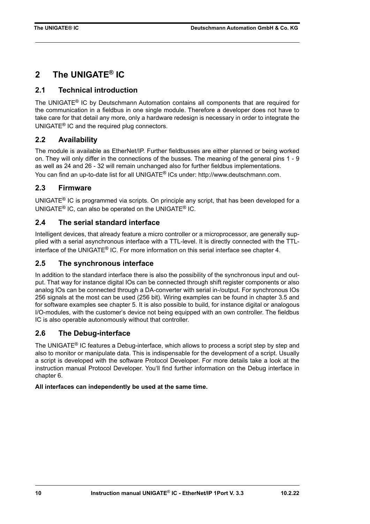# <span id="page-9-0"></span>**2 The UNIGATE® IC**

# <span id="page-9-1"></span>**2.1 Technical introduction**

The UNIGATE® IC by Deutschmann Automation contains all components that are required for the communication in a fieldbus in one single module. Therefore a developer does not have to take care for that detail any more, only a hardware redesign is necessary in order to integrate the UNIGATE® IC and the required plug connectors.

# <span id="page-9-2"></span>**2.2 Availability**

The module is available as EtherNet/IP. Further fieldbusses are either planned or being worked on. They will only differ in the connections of the busses. The meaning of the general pins 1 - 9 as well as 24 and 26 - 32 will remain unchanged also for further fieldbus implementations. You can find an up-to-date list for all UNIGATE[® ICs under: http://www.deutschmann.com.](http://www.deutschmann.com)

# <span id="page-9-3"></span>**2.3 Firmware**

UNIGATE® IC is programmed via scripts. On principle any script, that has been developed for a UNIGATE® IC, can also be operated on the UNIGATE® IC.

# <span id="page-9-4"></span>**2.4 The serial standard interface**

Intelligent devices, that already feature a micro controller or a microprocessor, are generally supplied with a serial asynchronous interface with a TTL-level. It is directly connected with the TTLinterface of the UNIGATE® IC. For more information on this serial interface see [chapter 4.](#page-22-0)

## <span id="page-9-5"></span>**2.5 The synchronous interface**

In addition to the standard interface there is also the possibility of the synchronous input and output. That way for instance digital IOs can be connected through shift register components or also analog IOs can be connected through a DA-converter with serial in-/output. For synchronous IOs 256 signals at the most can be used (256 bit). Wiring examples can be found in [chapter 3.5](#page-14-2) and for software examples see [chapter 5.](#page-23-0) It is also possible to build, for instance digital or analogous I/O-modules, with the customer's device not being equipped with an own controller. The fieldbus IC is also operable autonomously without that controller.

# <span id="page-9-6"></span>**2.6 The Debug-interface**

The UNIGATE<sup>®</sup> IC features a Debug-interface, which allows to process a script step by step and also to monitor or manipulate data. This is indispensable for the development of a script. Usually a script is developed with the software Protocol Developer. For more details take a look at the instruction manual Protocol Developer. You'll find further information on the Debug interface in [chapter 6](#page-25-0).

### **All interfaces can independently be used at the same time.**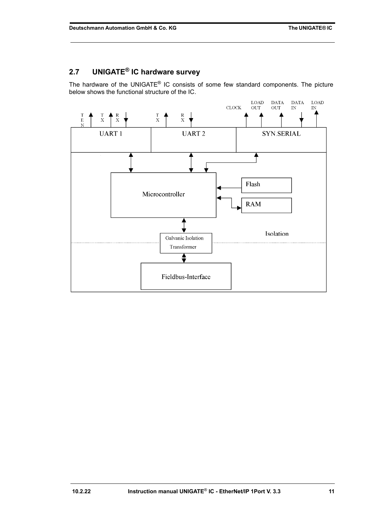# <span id="page-10-0"></span>**2.7 UNIGATE® IC hardware survey**

The hardware of the UNIGATE® IC consists of some few standard components. The picture below shows the functional structure of the IC.

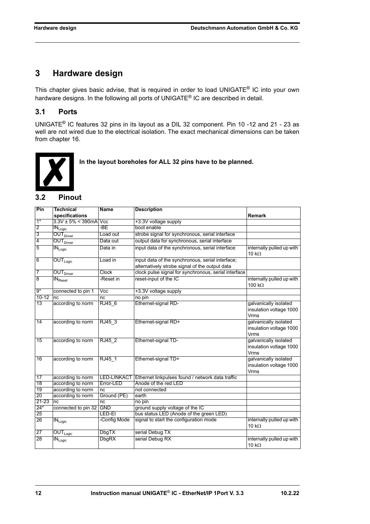# <span id="page-11-0"></span>**3 Hardware design**

This chapter gives basic advise, that is required in order to load UNIGATE® IC into your own hardware designs. In the following all ports of UNIGATE® IC are described in detail.

# <span id="page-11-1"></span>**3.1 Ports**

UNIGATE® IC features 32 pins in its layout as a DIL 32 component. Pin 10 -12 and 21 - 23 as well are not wired due to the electrical isolation. The exact mechanical dimensions can be taken from [chapter 16.](#page-40-0)



 **In the layout boreholes for ALL 32 pins have to be planned.**

### <span id="page-11-2"></span>**3.2 Pinout**

| Pin             | <b>Technical</b>                          | <b>Name</b>             | <b>Description</b>                                   |                                                                 |
|-----------------|-------------------------------------------|-------------------------|------------------------------------------------------|-----------------------------------------------------------------|
|                 | specifications                            |                         |                                                      | Remark                                                          |
| $1*$            | $3.3V \pm 5\% \leq 390$ mA Vcc            |                         | +3.3V voltage supply                                 |                                                                 |
| $\overline{2}$  | $IN_{Logic}$                              | -BE                     | boot enable                                          |                                                                 |
| $\overline{3}$  | OUT <sub>Direct</sub>                     | Load out                | strobe signal for synchronous, serial interface      |                                                                 |
| 4               | <b>OUT</b> Driver                         | Data out                | output data for synchronous, serial interface        |                                                                 |
| 5               | $IN_{Logic}$                              | Data in                 | input data of the synchronous, serial interface      | internally pulled up with<br>10 $k\Omega$                       |
| 6               | $OUT_{Logic}$                             | Load in                 | input data of the synchronous, serial interface;     |                                                                 |
|                 |                                           |                         | alternatively strobe signal of the output data       |                                                                 |
| 7               | $\overline{\text{OUT}}_{\text{Driver}}$   | Clock                   | clock pulse signal for synchronous, serial interface |                                                                 |
| $\overline{8}$  | $\overline{\textsf{IN}}_{\textsf{Reset}}$ | -Reset in               | reset-input of the IC                                | internally pulled up with<br>100 $k\Omega$                      |
| $9*$            | connected to pin 1                        | $\overline{\text{Vcc}}$ | +3.3V voltage supply                                 |                                                                 |
| $10 - 12$       | nc                                        | nc                      | no pin                                               |                                                                 |
| 13              | according to norm                         | RJ45 6                  | Ethernet-signal RD-                                  | galvanically isolated<br>insulation voltage 1000<br>Vrms        |
| 14              | according to norm                         | RJ45 3                  | Ethernet-signal RD+                                  | galvanically isolated<br>insulation voltage 1000<br>Vrms        |
| $\overline{15}$ | according to norm                         | RJ45 2                  | Ethernet-signal TD-                                  | galvanically isolated<br>insulation voltage 1000<br><b>Vrms</b> |
| 16              | according to norm                         | RJ45 1                  | Ethernet-signal TD+                                  | galvanically isolated<br>insulation voltage 1000<br>Vrms        |
| 17              | according to norm                         | <b>LED-LINKACT</b>      | Ethernet linkpulses found / network data traffic     |                                                                 |
| 18              | according to norm                         | Error-LED               | Anode of the red LED                                 |                                                                 |
| 19              | according to norm                         | nc                      | not connected                                        |                                                                 |
| 20              | according to norm                         | Ground (PE)             | earth                                                |                                                                 |
| 21-23           | nc                                        | nc                      | no pin                                               |                                                                 |
| $24*$           | connected to pin 32 GND                   |                         | ground supply voltage of the IC                      |                                                                 |
| 25              |                                           | LED-EI                  | bus status LED (Anode of the green LED)              |                                                                 |
| 26              | $\overline{\text{IN}}_{\text{Logic}}$     | -Config Mode            | signal to start the configuration mode               | internally pulled up with<br>10 $k\Omega$                       |
| 27              | $\overline{\mathsf{OUT}}_\mathsf{Logic}$  | <b>DbgTX</b>            | serial Debug TX                                      |                                                                 |
| 28              | $\overline{\text{IN}_{\text{Logic}}}$     | <b>DbgRX</b>            | serial Debug RX                                      | internally pulled up with<br>10 $k\Omega$                       |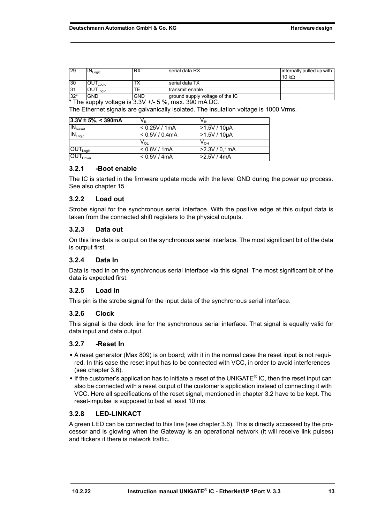| <b>29</b> | ' <sup>V</sup> Logic            | <b>KA</b>  | serial data RX                  | linternally pulled up with |
|-----------|---------------------------------|------------|---------------------------------|----------------------------|
|           |                                 |            |                                 | 10 k $\Omega$              |
| 30        | UU I <sub>Logic</sub>           |            | I serial data TX                |                            |
| 31        | $\mathsf{OUT}_{\mathsf{Loaic}}$ |            | I transmit enable               |                            |
| $32*$     | GND                             | <b>GND</b> | ground supply voltage of the IC |                            |

 $*$  The supply voltage is 3.3V +/- 5 %, max. 390 mA DC.

The Ethernet signals are galvanically isolated. The insulation voltage is 1000 Vrms.

| $ 3.3V \pm 5\%  < 390$ mA                | $V_{\parallel}$            | V <sub>IH</sub> |
|------------------------------------------|----------------------------|-----------------|
| $IN_{\text{Reset}}$                      | < 0.25V / 1mA              | $>1.5V/10\mu A$ |
| $IN_{Logic}$                             | < 0.5V / 0.4mA             | >1.5V / 10µA    |
|                                          | $\mathsf{v}_{\mathsf{ol}}$ | $V_{OH}$        |
| $\overline{\mathsf{OUT}}_\mathsf{Logic}$ | < 0.6V / 1mA               | >2.3V / 0,1mA   |
| $\overline{\text{OUT}}_{\text{Driver}}$  | < 0.5V / 4mA               | >2.5V/4mA       |

#### <span id="page-12-0"></span>**3.2.1 -Boot enable**

The IC is started in the firmware update mode with the level GND during the power up process. See also [chapter 15](#page-39-0).

#### <span id="page-12-1"></span>**3.2.2 Load out**

Strobe signal for the synchronous serial interface. With the positive edge at this output data is taken from the connected shift registers to the physical outputs.

#### <span id="page-12-2"></span>**3.2.3 Data out**

On this line data is output on the synchronous serial interface. The most significant bit of the data is output first.

#### <span id="page-12-3"></span>**3.2.4 Data In**

Data is read in on the synchronous serial interface via this signal. The most significant bit of the data is expected first.

#### <span id="page-12-4"></span>**3.2.5 Load In**

This pin is the strobe signal for the input data of the synchronous serial interface.

#### <span id="page-12-5"></span>**3.2.6 Clock**

This signal is the clock line for the synchronous serial interface. That signal is equally valid for data input and data output.

#### <span id="page-12-6"></span>**3.2.7 -Reset In**

- **•** A reset generator (Max 809) is on board; with it in the normal case the reset input is not required. In this case the reset input has to be connected with VCC, in order to avoid interferences (see [chapter 3.6\)](#page-18-0).
- **•** If the customer's application has to initiate a reset of the UNIGATE® IC, then the reset input can also be connected with a reset output of the customer's application instead of connecting it with VCC. Here all specifications of the reset signal, mentioned in [chapter 3.2](#page-11-2) have to be kept. The reset-impulse is supposed to last at least 10 ms.

#### <span id="page-12-7"></span>**3.2.8 LED-LINKACT**

A green LED can be connected to this line (see [chapter 3.6](#page-18-0)). This is directly accessed by the processor and is glowing when the Gateway is an operational network (it will receive link pulses) and flickers if there is network traffic.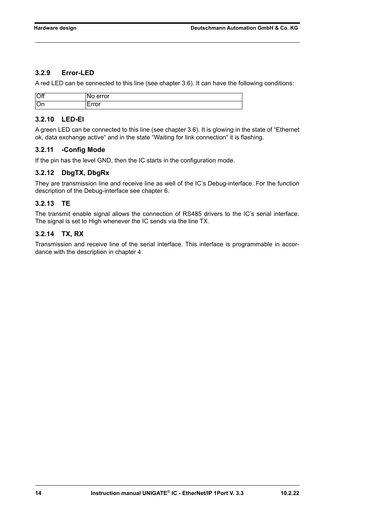### <span id="page-13-0"></span>**3.2.9 Error-LED**

A red LED can be connected to this line (see chapter 3.6). It can have the following conditions:

| $\overline{\text{Off}}$ | error<br>M<br>$\overline{\phantom{a}}$          |
|-------------------------|-------------------------------------------------|
| l'On                    | $- - - - - -$<br>ັັ<br>$\overline{\phantom{a}}$ |

### <span id="page-13-1"></span>**3.2.10 LED-EI**

A green LED can be connected to this line (see [chapter 3.6\)](#page-18-0). It is glowing in the state of "Ethernet ok, data exchange active" and in the state "Waiting for link connection" it is flashing.

#### <span id="page-13-2"></span>**3.2.11 -Config Mode**

If the pin has the level GND, then the IC starts in the configuration mode.

#### <span id="page-13-3"></span>**3.2.12 DbgTX, DbgRx**

They are transmission line and receive line as well of the IC's Debug-interface. For the function description of the Debug-interface see [chapter 6](#page-25-0).

### <span id="page-13-4"></span>**3.2.13 TE**

The transmit enable signal allows the connection of RS485 drivers to the IC's serial interface. The signal is set to High whenever the IC sends via the line TX.

#### <span id="page-13-5"></span>**3.2.14 TX, RX**

Transmission and receive line of the serial interface. This interface is programmable in accordance with the description in [chapter 4](#page-22-0).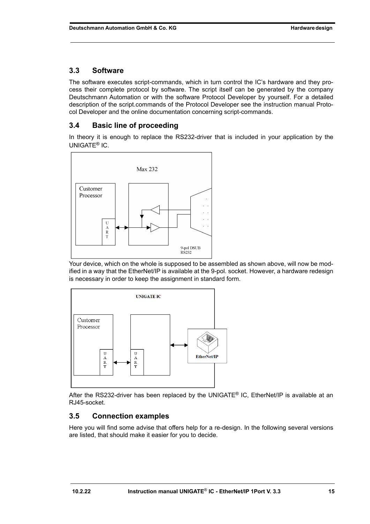# <span id="page-14-0"></span>**3.3 Software**

The software executes script-commands, which in turn control the IC's hardware and they process their complete protocol by software. The script itself can be generated by the company Deutschmann Automation or with the software Protocol Developer by yourself. For a detailed description of the script.commands of the Protocol Developer see the instruction manual Protocol Developer and the online documentation concerning script-commands.

# <span id="page-14-1"></span>**3.4 Basic line of proceeding**

In theory it is enough to replace the RS232-driver that is included in your application by the UNIGATE® IC.



Your device, which on the whole is supposed to be assembled as shown above, will now be modified in a way that the EtherNet/IP is available at the 9-pol. socket. However, a hardware redesign is necessary in order to keep the assignment in standard form.



After the RS232-driver has been replaced by the UNIGATE® IC, EtherNet/IP is available at an RJ45-socket.

# <span id="page-14-2"></span>**3.5 Connection examples**

Here you will find some advise that offers help for a re-design. In the following several versions are listed, that should make it easier for you to decide.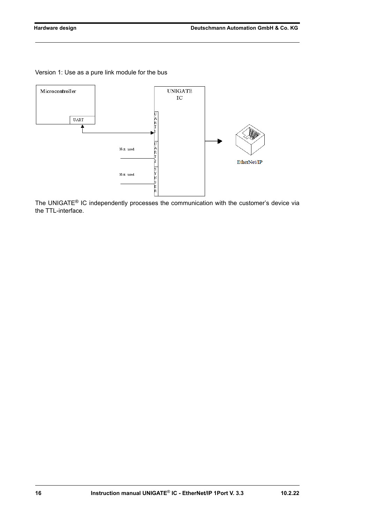Version 1: Use as a pure link module for the bus



The UNIGATE® IC independently processes the communication with the customer's device via the TTL-interface.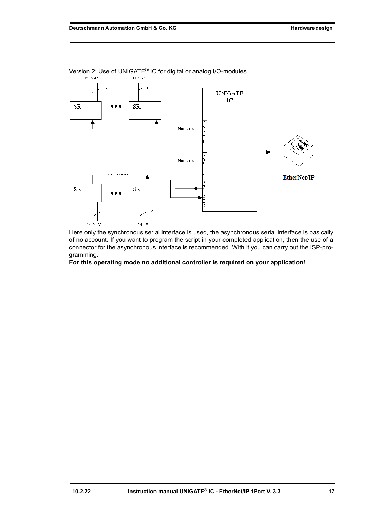

Version 2: Use of UNIGATE<sup>®</sup> IC for digital or analog I/O-modules<br>
<sub>Out N-M</sub> out N-M

Here only the synchronous serial interface is used, the asynchronous serial interface is basically of no account. If you want to program the script in your completed application, then the use of a connector for the asynchronous interface is recommended. With it you can carry out the ISP-programming.

**For this operating mode no additional controller is required on your application!**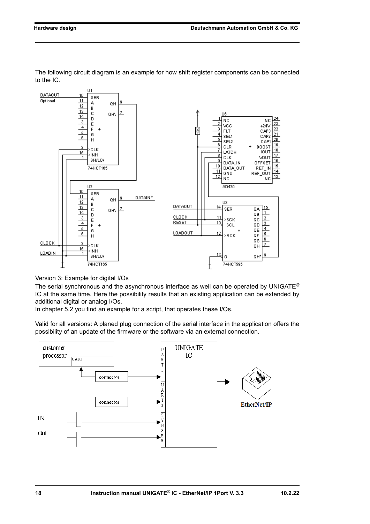

The following circuit diagram is an example for how shift register components can be connected to the IC.

Version 3: Example for digital I/Os

The serial synchronous and the asynchronous interface as well can be operated by UNIGATE<sup>®</sup> IC at the same time. Here the possibility results that an existing application can be extended by additional digital or analog I/Os.

In chapter 5.2 you find an example for a script, that operates these I/Os.

Valid for all versions: A planed plug connection of the serial interface in the application offers the possibility of an update of the firmware or the software via an external connection.

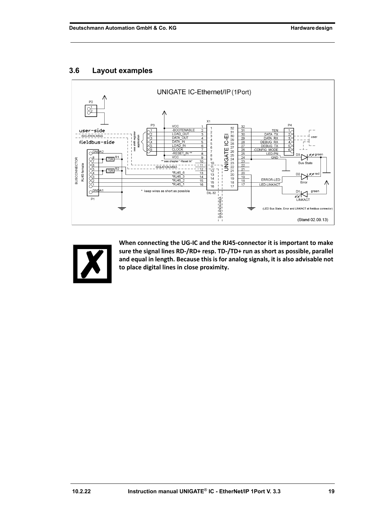## <span id="page-18-0"></span>**3.6 Layout examples**





**When connecting the UG-IC and the RJ45-connector it is important to make sure the signal lines RD-/RD+ resp. TD-/TD+ run as short as possible, parallel and equal in length. Because this is for analog signals, it is also advisable not to place digital lines in close proximity.**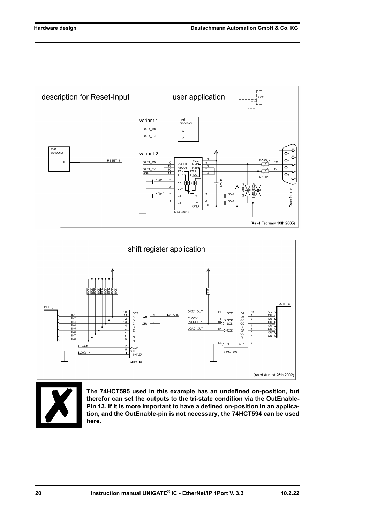





**The 74HCT595 used in this example has an undefined on-position, but therefor can set the outputs to the tri-state condition via the OutEnable-Pin 13. If it is more important to have a defined on-position in an application, and the OutEnable-pin is not necessary, the 74HCT594 can be used here.**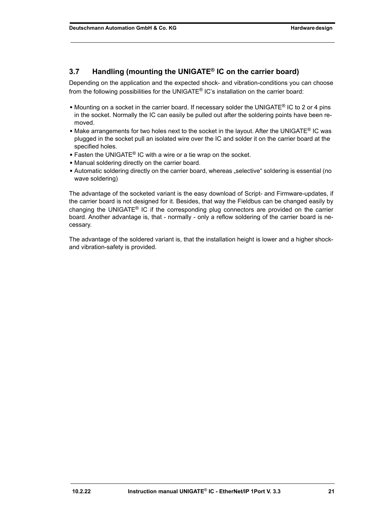# <span id="page-20-0"></span>**3.7 Handling (mounting the UNIGATE® IC on the carrier board)**

Depending on the application and the expected shock- and vibration-conditions you can choose from the following possibilities for the UNIGATE® IC's installation on the carrier board:

- **•** Mounting on a socket in the carrier board. If necessary solder the UNIGATE® IC to 2 or 4 pins in the socket. Normally the IC can easily be pulled out after the soldering points have been removed.
- Make arrangements for two holes next to the socket in the layout. After the UNIGATE<sup>®</sup> IC was plugged in the socket pull an isolated wire over the IC and solder it on the carrier board at the specified holes.
- **•** Fasten the UNIGATE® IC with a wire or a tie wrap on the socket.
- **•** Manual soldering directly on the carrier board.
- Automatic soldering directly on the carrier board, whereas "selective" soldering is essential (no wave soldering)

The advantage of the socketed variant is the easy download of Script- and Firmware-updates, if the carrier board is not designed for it. Besides, that way the Fieldbus can be changed easily by changing the UNIGATE<sup>®</sup> IC if the corresponding plug connectors are provided on the carrier board. Another advantage is, that - normally - only a reflow soldering of the carrier board is necessary.

The advantage of the soldered variant is, that the installation height is lower and a higher shockand vibration-safety is provided.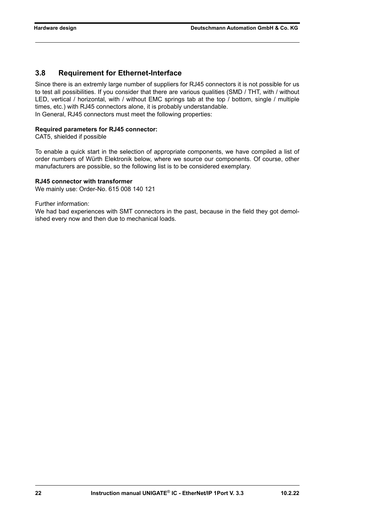# <span id="page-21-0"></span>**3.8 Requirement for Ethernet-Interface**

Since there is an extremly large number of suppliers for RJ45 connectors it is not possible for us to test all possibilities. If you consider that there are various qualities (SMD / THT, with / without LED, vertical / horizontal, with / without EMC springs tab at the top / bottom, single / multiple times, etc.) with RJ45 connectors alone, it is probably understandable. In General, RJ45 connectors must meet the following properties:

#### **Required parameters for RJ45 connector:**

CAT5, shielded if possible

To enable a quick start in the selection of appropriate components, we have compiled a list of order numbers of Würth Elektronik below, where we source our components. Of course, other manufacturers are possible, so the following list is to be considered exemplary.

#### **RJ45 connector with transformer**

We mainly use: Order-No. 615 008 140 121

Further information:

We had bad experiences with SMT connectors in the past, because in the field they got demolished every now and then due to mechanical loads.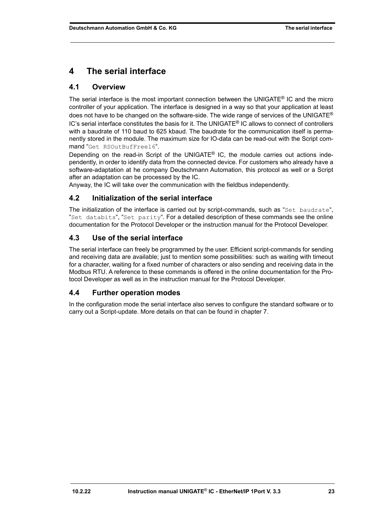# <span id="page-22-0"></span>**4 The serial interface**

# <span id="page-22-1"></span>**4.1 Overview**

The serial interface is the most important connection between the UNIGATE<sup>®</sup> IC and the micro controller of your application. The interface is designed in a way so that your application at least does not have to be changed on the software-side. The wide range of services of the UNIGATE<sup>®</sup>  $IC$ 's serial interface constitutes the basis for it. The UNIGATE<sup>®</sup> IC allows to connect of controllers with a baudrate of 110 baud to 625 kbaud. The baudrate for the communication itself is permanently stored in the module. The maximum size for IO-data can be read-out with the Script command "Get RSOutBufFree16".

Depending on the read-in Script of the UNIGATE<sup>®</sup> IC, the module carries out actions independently, in order to identify data from the connected device. For customers who already have a software-adaptation at he company Deutschmann Automation, this protocol as well or a Script after an adaptation can be processed by the IC.

Anyway, the IC will take over the communication with the fieldbus independently.

# <span id="page-22-2"></span>**4.2 Initialization of the serial interface**

The initialization of the interface is carried out by script-commands, such as "Set baudrate", "Set databits", "Set parity". For a detailed description of these commands see the online documentation for the Protocol Developer or the instruction manual for the Protocol Developer.

# <span id="page-22-3"></span>**4.3 Use of the serial interface**

The serial interface can freely be programmed by the user. Efficient script-commands for sending and receiving data are available; just to mention some possibilities: such as waiting with timeout for a character, waiting for a fixed number of characters or also sending and receiving data in the Modbus RTU. A reference to these commands is offered in the online documentation for the Protocol Developer as well as in the instruction manual for the Protocol Developer.

# <span id="page-22-4"></span>**4.4 Further operation modes**

In the configuration mode the serial interface also serves to configure the standard software or to carry out a Script-update. More details on that can be found in [chapter 7.](#page-26-0)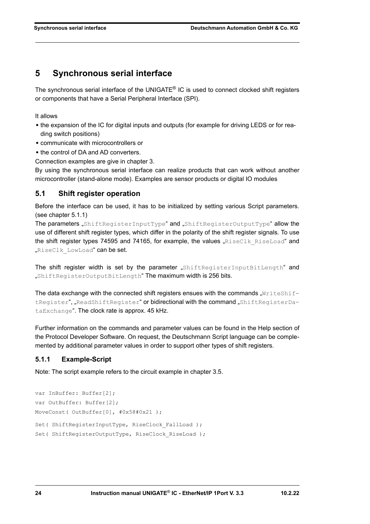# <span id="page-23-0"></span>**5 Synchronous serial interface**

The synchronous serial interface of the UNIGATE® IC is used to connect clocked shift registers or components that have a Serial Peripheral Interface (SPI).

It allows

- **•** the expansion of the IC for digital inputs and outputs (for example for driving LEDS or for reading switch positions)
- **•** communicate with microcontrollers or
- **•** the control of DA and AD converters.

Connection examples are give in [chapter 3](#page-11-0).

By using the synchronous serial interface can realize products that can work without another microcontroller (stand-alone mode). Examples are sensor products or digital IO modules

### <span id="page-23-1"></span>**5.1 Shift register operation**

Before the interface can be used, it has to be initialized by setting various Script parameters. (see [chapter 5.1.1](#page-23-2))

The parameters "ShiftRegisterInputType" and "ShiftRegisterOutputType" allow the use of different shift register types, which differ in the polarity of the shift register signals. To use the shift register types 74595 and 74165, for example, the values " $RiseClk$   $RiseLoad"$  and "RiseClk LowLoad" can be set.

The shift register width is set by the parameter "ShiftRegisterInputBitLength" and "ShiftRegisterOutputBitLength" The maximum width is 256 bits.

The data exchange with the connected shift registers ensues with the commands " $WriteShift$ tRegister", "ReadShiftRegister" or bidirectional with the command "ShiftRegisterDataExchange". The clock rate is approx. 45 kHz.

Further information on the commands and parameter values can be found in the Help section of the Protocol Developer Software. On request, the Deutschmann Script language can be complemented by additional parameter values in order to support other types of shift registers.

### <span id="page-23-2"></span>**5.1.1 Example-Script**

Note: The script example refers to the circuit example in [chapter 3.5](#page-14-2).

```
var InBuffer: Buffer[2];
var OutBuffer: Buffer[2];
MoveConst( OutBuffer[0], #0x58#0x21 );
Set( ShiftRegisterInputType, RiseClock FallLoad );
Set( ShiftRegisterOutputType, RiseClock RiseLoad );
```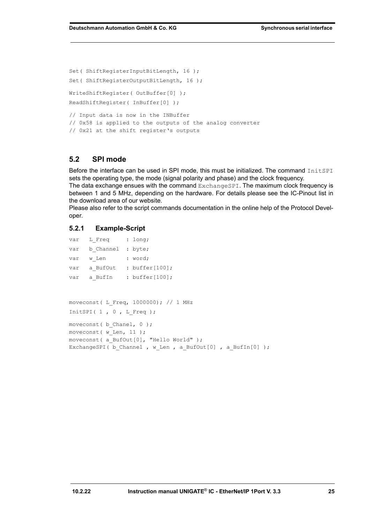Set( ShiftRegisterInputBitLength, 16 ); Set( ShiftRegisterOutputBitLength, 16 ); WriteShiftRegister( OutBuffer[0] ); ReadShiftRegister( InBuffer[0] ); // Input data is now in the INBuffer // 0x58 is applied to the outputs of the analog converter // 0x21 at the shift register's outputs

#### <span id="page-24-0"></span>**5.2 SPI mode**

Before the interface can be used in SPI mode, this must be initialized. The command InitSPI sets the operating type, the mode (signal polarity and phase) and the clock frequency.

The data exchange ensues with the command ExchangeSPI. The maximum clock frequency is between 1 and 5 MHz, depending on the hardware. For details please see the IC-Pinout list in the download area of our website.

Please also refer to the script commands documentation in the online help of the Protocol Developer.

#### <span id="page-24-1"></span>**5.2.1 Example-Script**

```
var L Freq : long;
var b Channel : byte;
var w Len : word;
var a BufOut : buffer[100];
var a BufIn : buffer[100];
moveconst( L_Freq, 1000000); // 1 MHz
InitSPI( 1, 0, L Freq );
moveconst ( b Chanel, 0 );
moveconst (w Len, 11 );
moveconst ( a BufOut[0], "Hello World" );
ExchangeSPI( b Channel , w Len , a BufOut[0] , a BufIn[0] );
```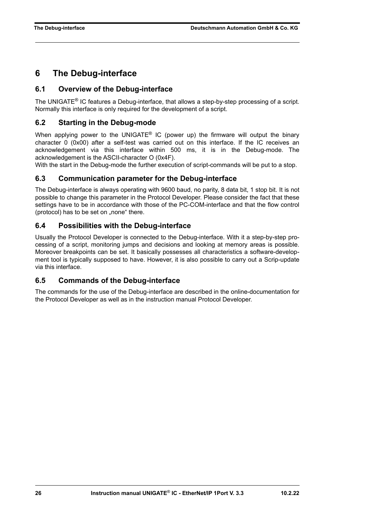# <span id="page-25-0"></span>**6 The Debug-interface**

## <span id="page-25-1"></span>**6.1 Overview of the Debug-interface**

The UNIGATE® IC features a Debug-interface, that allows a step-by-step processing of a script. Normally this interface is only required for the development of a script.

## <span id="page-25-2"></span>**6.2 Starting in the Debug-mode**

When applying power to the UNIGATE<sup>®</sup> IC (power up) the firmware will output the binary character 0 (0x00) after a self-test was carried out on this interface. If the IC receives an acknowledgement via this interface within 500 ms, it is in the Debug-mode. The acknowledgement is the ASCII-character O (0x4F).

With the start in the Debug-mode the further execution of script-commands will be put to a stop.

### <span id="page-25-3"></span>**6.3 Communication parameter for the Debug-interface**

The Debug-interface is always operating with 9600 baud, no parity, 8 data bit, 1 stop bit. It is not possible to change this parameter in the Protocol Developer. Please consider the fact that these settings have to be in accordance with those of the PC-COM-interface and that the flow control (protocol) has to be set on "none" there.

### <span id="page-25-4"></span>**6.4 Possibilities with the Debug-interface**

Usually the Protocol Developer is connected to the Debug-interface. With it a step-by-step processing of a script, monitoring jumps and decisions and looking at memory areas is possible. Moreover breakpoints can be set. It basically possesses all characteristics a software-development tool is typically supposed to have. However, it is also possible to carry out a Scrip-update via this interface.

### <span id="page-25-5"></span>**6.5 Commands of the Debug-interface**

The commands for the use of the Debug-interface are described in the online-documentation for the Protocol Developer as well as in the instruction manual Protocol Developer.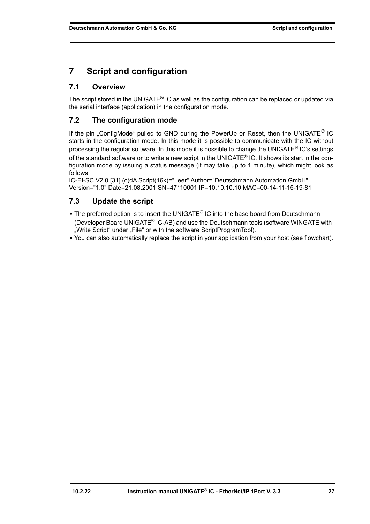# <span id="page-26-0"></span>**7 Script and configuration**

# <span id="page-26-1"></span>**7.1 Overview**

The script stored in the UNIGATE® IC as well as the configuration can be replaced or updated via the serial interface (application) in the configuration mode.

# <span id="page-26-2"></span>**7.2 The configuration mode**

If the pin "ConfigMode" pulled to GND during the PowerUp or Reset, then the UNIGATE® IC starts in the configuration mode. In this mode it is possible to communicate with the IC without processing the regular software. In this mode it is possible to change the UNIGATE<sup>®</sup> IC's settings of the standard software or to write a new script in the UNIGATE<sup>®</sup> IC. It shows its start in the configuration mode by issuing a status message (it may take up to 1 minute), which might look as follows:

IC-EI-SC V2.0 [31] (c)dA Script(16k)="Leer" Author="Deutschmann Automation GmbH" Version="1.0" Date=21.08.2001 SN=47110001 IP=10.10.10.10 MAC=00-14-11-15-19-81

# <span id="page-26-3"></span>**7.3 Update the script**

- **•** The preferred option is to insert the UNIGATE® IC into the base board from Deutschmann (Developer Board UNIGATE® IC-AB) and use the Deutschmann tools (software WINGATE with "Write Script" under "File" or with the software ScriptProgramTool).
- **•** You can also automatically replace the script in your application from your host (see flowchart).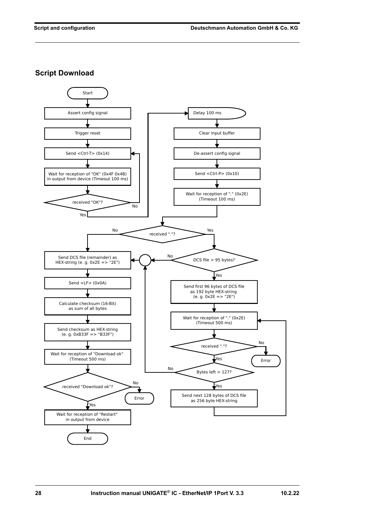**Script Download**

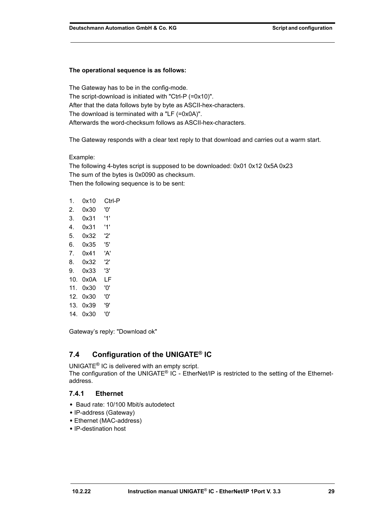#### **The operational sequence is as follows:**

The Gateway has to be in the config-mode. The script-download is initiated with "Ctrl-P (=0x10)". After that the data follows byte by byte as ASCII-hex-characters. The download is terminated with a "LF (=0x0A)". Afterwards the word-checksum follows as ASCII-hex-characters.

The Gateway responds with a clear text reply to that download and carries out a warm start.

#### Example:

The following 4-bytes script is supposed to be downloaded: 0x01 0x12 0x5A 0x23 The sum of the bytes is 0x0090 as checksum. Then the following sequence is to be sent:

| 1.  | 0x10     | Ctrl-P |
|-----|----------|--------|
| 2.  | 0x30     | '0'    |
| 3.  | 0x31     | '1'    |
| 4.  | 0x31     | '1'    |
| 5.  | 0x32     | '2'    |
| 6.  | 0x35.    | '5'    |
| 7.  | 0x41     | 'A'    |
| 8.  | 0x32     | '2'    |
| 9.  | 0x33     | '3'    |
| 10. | 0x0A     | LF     |
| 11. | 0x30     | '0'    |
|     | 12. 0x30 | '0'    |
|     | 13. Ox39 | פי'    |
| 14. | 0x30     | '0'    |

Gateway's reply: "Download ok"

# <span id="page-28-0"></span>**7.4 Configuration of the UNIGATE® IC**

UNIGATE® IC is delivered with an empty script.

The configuration of the UNIGATE<sup>®</sup> IC - EtherNet/IP is restricted to the setting of the Ethernetaddress.

# <span id="page-28-1"></span>**7.4.1 Ethernet**

- **•** Baud rate: 10/100 Mbit/s autodetect
- **•** IP-address (Gateway)
- **•** Ethernet (MAC-address)
- **•** IP-destination host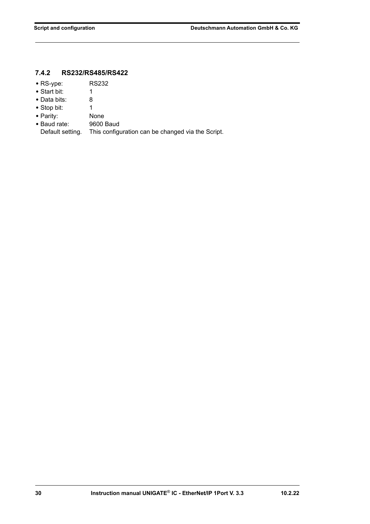# <span id="page-29-0"></span>**7.4.2 RS232/RS485/RS422**

- **•** RS-ype: RS232
- **•** Start bit: 1
- **•** Data bits: 8
- Stop bit: 1
- 
- Parity: None<br>• Baud rate: 9600 Baud
- Baud rate:<br>Default setting. This configuration can be changed via the Script.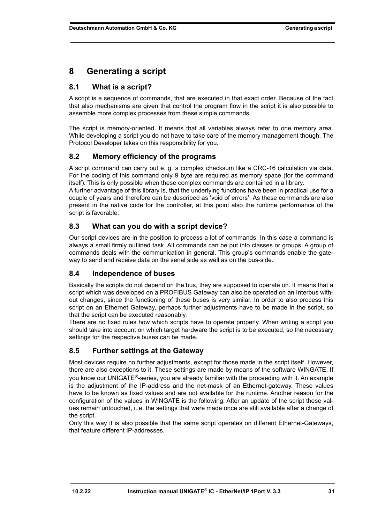# <span id="page-30-0"></span>**8 Generating a script**

# <span id="page-30-1"></span>**8.1 What is a script?**

A script is a sequence of commands, that are executed in that exact order. Because of the fact that also mechanisms are given that control the program flow in the script it is also possible to assemble more complex processes from these simple commands.

The script is memory-oriented. It means that all variables always refer to one memory area. While developing a script you do not have to take care of the memory management though. The Protocol Developer takes on this responsibility for you.

# <span id="page-30-2"></span>**8.2 Memory efficiency of the programs**

A script command can carry out e. g. a complex checksum like a CRC-16 calculation via data. For the coding of this command only 9 byte are required as memory space (for the command itself). This is only possible when these complex commands are contained in a library.

A further advantage of this library is, that the underlying functions have been in practical use for a couple of years and therefore can be described as 'void of errors'. As these commands are also present in the native code for the controller, at this point also the runtime performance of the script is favorable.

# <span id="page-30-3"></span>**8.3 What can you do with a script device?**

Our script devices are in the position to process a lot of commands. In this case a command is always a small firmly outlined task. All commands can be put into classes or groups. A group of commands deals with the communication in general. This group's commands enable the gateway to send and receive data on the serial side as well as on the bus-side.

# <span id="page-30-4"></span>**8.4 Independence of buses**

Basically the scripts do not depend on the bus, they are supposed to operate on. It means that a script which was developed on a PROFIBUS Gateway can also be operated on an Interbus without changes, since the functioning of these buses is very similar. In order to also process this script on an Ethernet Gateway, perhaps further adjustments have to be made in the script, so that the script can be executed reasonably.

There are no fixed rules how which scripts have to operate properly. When writing a script you should take into account on which target hardware the script is to be executed, so the necessary settings for the respective buses can be made.

# <span id="page-30-5"></span>**8.5 Further settings at the Gateway**

Most devices require no further adjustments, except for those made in the script itself. However, there are also exceptions to it. These settings are made by means of the software WINGATE. If you know our UNIGATE<sup>®</sup>-series, you are already familiar with the proceeding with it. An example is the adjustment of the IP-address and the net-mask of an Ethernet-gateway. These values have to be known as fixed values and are not available for the runtime. Another reason for the configuration of the values in WINGATE is the following: After an update of the script these values remain untouched, i. e. the settings that were made once are still available after a change of the script.

Only this way it is also possible that the same script operates on different Ethernet-Gateways, that feature different IP-addresses.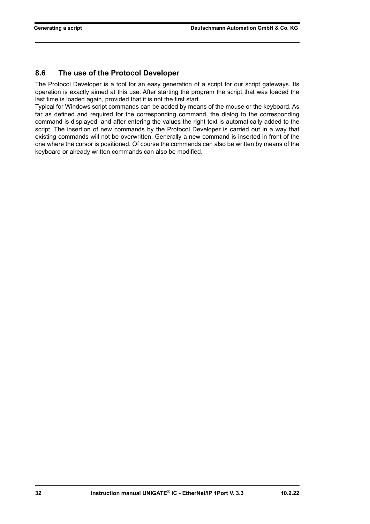# <span id="page-31-0"></span>**8.6 The use of the Protocol Developer**

The Protocol Developer is a tool for an easy generation of a script for our script gateways. Its operation is exactly aimed at this use. After starting the program the script that was loaded the last time is loaded again, provided that it is not the first start.

Typical for Windows script commands can be added by means of the mouse or the keyboard. As far as defined and required for the corresponding command, the dialog to the corresponding command is displayed, and after entering the values the right text is automatically added to the script. The insertion of new commands by the Protocol Developer is carried out in a way that existing commands will not be overwritten. Generally a new command is inserted in front of the one where the cursor is positioned. Of course the commands can also be written by means of the keyboard or already written commands can also be modified.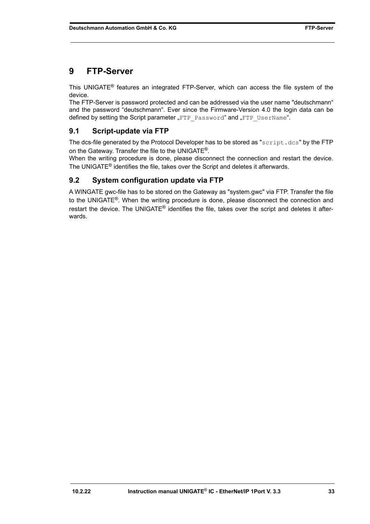# <span id="page-32-0"></span>**9 FTP-Server**

This UNIGATE® features an integrated FTP-Server, which can access the file system of the device.

The FTP-Server is password protected and can be addressed via the user name "deutschmann" and the password "deutschmann". Ever since the Firmware-Version 4.0 the login data can be defined by setting the Script parameter "FTP Password" and "FTP UserName".

# <span id="page-32-1"></span>**9.1 Script-update via FTP**

The dcs-file generated by the Protocol Developer has to be stored as "script.dcs" by the FTP on the Gateway. Transfer the file to the UNIGATE®.

When the writing procedure is done, please disconnect the connection and restart the device. The UNIGATE® identifies the file, takes over the Script and deletes it afterwards.

# <span id="page-32-2"></span>**9.2 System configuration update via FTP**

A WINGATE gwc-file has to be stored on the Gateway as "system.gwc" via FTP. Transfer the file to the UNIGATE<sup>®</sup>. When the writing procedure is done, please disconnect the connection and restart the device. The UNIGATE<sup>®</sup> identifies the file, takes over the script and deletes it afterwards.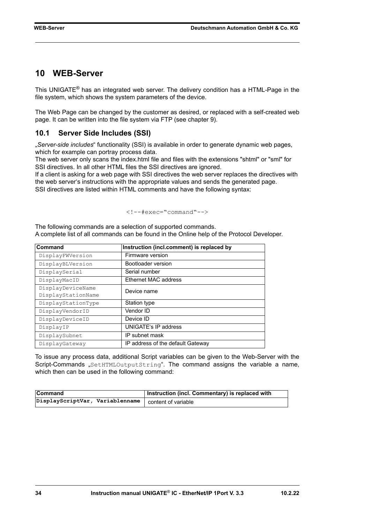# <span id="page-33-0"></span>**10 WEB-Server**

This UNIGATE® has an integrated web server. The delivery condition has a HTML-Page in the file system, which shows the system parameters of the device.

The Web Page can be changed by the customer as desired, or replaced with a self-created web page. It can be written into the file system via FTP (see [chapter 9](#page-32-0)).

### <span id="page-33-1"></span>**10.1 Server Side Includes (SSI)**

"*Server-side includes*" functionality (SSI) is available in order to generate dynamic web pages, which for example can portray process data.

The web server only scans the index.html file and files with the extensions "shtml" or "sml" for SSI directives. In all other HTML files the SSI directives are ignored.

If a client is asking for a web page with SSI directives the web server replaces the directives with the web server's instructions with the appropriate values and sends the generated page. SSI directives are listed within HTML comments and have the following syntax:

```
<!--#exec="command"-->
```
The following commands are a selection of supported commands. A complete list of all commands can be found in the Online help of the Protocol Developer.

| Command            | Instruction (incl.comment) is replaced by |
|--------------------|-------------------------------------------|
| DisplayFWVersion   | Firmware version                          |
| DisplayBLVersion   | Bootloader version                        |
| DisplaySerial      | Serial number                             |
| DisplayMacID       | <b>Ethernet MAC address</b>               |
| DisplayDeviceName  | Device name                               |
| DisplayStationName |                                           |
| DisplayStationType | Station type                              |
| DisplayVendorID    | Vendor ID                                 |
| DisplayDeviceID    | Device ID                                 |
| DisplayIP          | <b>UNIGATE's IP address</b>               |
| DisplaySubnet      | IP subnet mask                            |
| DisplayGateway     | IP address of the default Gateway         |

To issue any process data, additional Script variables can be given to the Web-Server with the Script-Commands "SetHTMLOutputString". The command assigns the variable a name, which then can be used in the following command:

| <b>Command</b>                                        | Instruction (incl. Commentary) is replaced with |
|-------------------------------------------------------|-------------------------------------------------|
| DisplayScriptVar, Variablenname   content of variable |                                                 |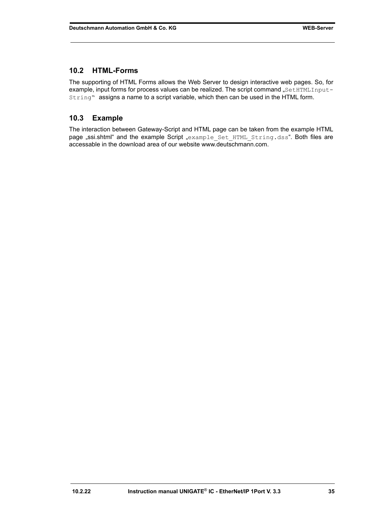### <span id="page-34-0"></span>**10.2 HTML-Forms**

The supporting of HTML Forms allows the Web Server to design interactive web pages. So, for example, input forms for process values can be realized. The script command "SetHTMLInput-String" assigns a name to a script variable, which then can be used in the HTML form.

## <span id="page-34-1"></span>**10.3 Example**

The interaction between Gateway-Script and HTML page can be taken from the example HTML page "ssi.shtml" and the example Script "example Set HTML String.dss[". Both files are](http://www.deutschmann.com) [accessable in the download area of our website www.deutschmann.com.](http://www.deutschmann.com)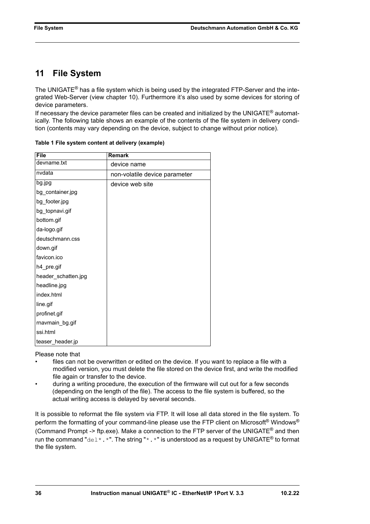# <span id="page-35-0"></span>**11 File System**

The UNIGATE<sup>®</sup> has a file system which is being used by the integrated FTP-Server and the integrated Web-Server (view [chapter 10](#page-33-0)). Furthermore it's also used by some devices for storing of device parameters.

If necessary the device parameter files can be created and initialized by the UNIGATE<sup>®</sup> automatically. The following table shows an example of the contents of the file system in delivery condition (contents may vary depending on the device, subject to change without prior notice).

| <b>File</b>         | Remark                        |
|---------------------|-------------------------------|
| devname.txt         | device name                   |
| nvdata              | non-volatile device parameter |
| bg.jpg              | device web site               |
| bg_container.jpg    |                               |
| bg_footer.jpg       |                               |
| bg_topnavi.gif      |                               |
| bottom.gif          |                               |
| da-logo.gif         |                               |
| deutschmann.css     |                               |
| down.gif            |                               |
| favicon.ico         |                               |
| h4_pre.gif          |                               |
| header_schatten.jpg |                               |
| headline.jpg        |                               |
| index.html          |                               |
| line.gif            |                               |
| profinet.gif        |                               |
| rnavmain_bg.gif     |                               |
| ssi.html            |                               |
| teaser header.jp    |                               |

**Table 1 File system content at delivery (example)**

Please note that

- files can not be overwritten or edited on the device. If you want to replace a file with a modified version, you must delete the file stored on the device first, and write the modified file again or transfer to the device.
- during a writing procedure, the execution of the firmware will cut out for a few seconds (depending on the length of the file). The access to the file system is buffered, so the actual writing access is delayed by several seconds.

It is possible to reformat the file system via FTP. It will lose all data stored in the file system. To perform the formatting of your command-line please use the FTP client on Microsoft<sup>®</sup> Windows<sup>®</sup> (Command Prompt -> ftp.exe). Make a connection to the FTP server of the UNIGATE<sup>®</sup> and then run the command "del\*.\*". The string "\*.\*" is understood as a request by UNIGATE<sup>®</sup> to format the file system.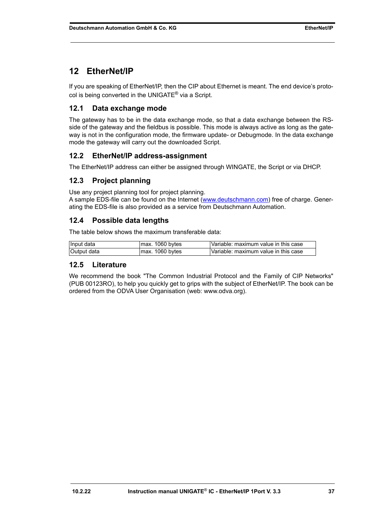# <span id="page-36-0"></span>**12 EtherNet/IP**

If you are speaking of EtherNet/IP, then the CIP about Ethernet is meant. The end device's protocol is being converted in the UNIGATE® via a Script.

# <span id="page-36-1"></span>**12.1 Data exchange mode**

The gateway has to be in the data exchange mode, so that a data exchange between the RSside of the gateway and the fieldbus is possible. This mode is always active as long as the gateway is not in the configuration mode, the firmware update- or Debugmode. In the data exchange mode the gateway will carry out the downloaded Script.

# <span id="page-36-2"></span>**12.2 EtherNet/IP address-assignment**

The EtherNet/IP address can either be assigned through WINGATE, the Script or via DHCP.

# <span id="page-36-3"></span>**12.3 Project planning**

Use any project planning tool for project planning.

A sample EDS-file can be found on the Internet [\(www.deutschmann.com\)](http://www.deutschmann.com) free of charge. Generating the EDS-file is also provided as a service from Deutschmann Automation.

# <span id="page-36-4"></span>**12.4 Possible data lengths**

The table below shows the maximum transferable data:

| Hnput data  | 1060 bytes<br>max. | Variable: maximum value in this case |
|-------------|--------------------|--------------------------------------|
| Output data | 1060 bytes<br>max. | Variable: maximum value in this case |

## <span id="page-36-5"></span>**12.5 Literature**

[We recommend the book "The Common Industrial Protocol and the Family of CIP Networks"](http://www.odva.org) [\(PUB 00123RO\), to help you quickly get to grips with the subject of EtherNet/IP. The book can be](http://www.odva.org) [ordered from the ODVA User Organisation \(web: www.odva.org\).](http://www.odva.org)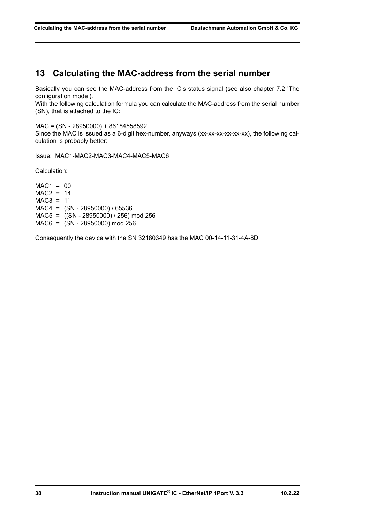# <span id="page-37-0"></span>**13 Calculating the MAC-address from the serial number**

Basically you can see the MAC-address from the IC's status signal [\(see also chapter 7.2 'The](#page-26-2) [configuration mode'\)](#page-26-2).

With the following calculation formula you can calculate the MAC-address from the serial number (SN), that is attached to the IC:

MAC = (SN - 28950000) + 86184558592 Since the MAC is issued as a 6-digit hex-number, anyways (xx-xx-xx-xx-xx-xx), the following calculation is probably better:

Issue: MAC1-MAC2-MAC3-MAC4-MAC5-MAC6

Calculation:

 $MAC1 = 00$ MAC2 = 14 MAC3 = 11 MAC4 = (SN - 28950000) / 65536 MAC5 = ((SN - 28950000) / 256) mod 256 MAC6 = (SN - 28950000) mod 256

Consequently the device with the SN 32180349 has the MAC 00-14-11-31-4A-8D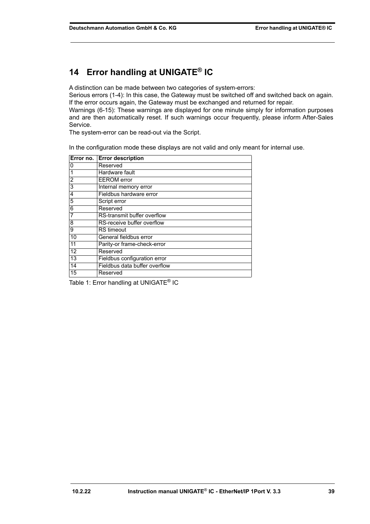# <span id="page-38-0"></span>**14 Error handling at UNIGATE® IC**

A distinction can be made between two categories of system-errors:

Serious errors (1-4): In this case, the Gateway must be switched off and switched back on again. If the error occurs again, the Gateway must be exchanged and returned for repair. Warnings (6-15): These warnings are displayed for one minute simply for information purposes and are then automatically reset. If such warnings occur frequently, please inform After-Sales

The system-error can be read-out via the Script.

Service.

In the configuration mode these displays are not valid and only meant for internal use.

|                | Error no. Error description   |
|----------------|-------------------------------|
| 0              | Reserved                      |
|                | Hardware fault                |
| $\overline{2}$ | <b>EEROM</b> error            |
| 3              | <b>Internal memory error</b>  |
| 4              | Fieldbus hardware error       |
| 5              | Script error                  |
| 6              | Reserved                      |
| 7              | RS-transmit buffer overflow   |
| 8              | RS-receive buffer overflow    |
| 9              | <b>RS</b> timeout             |
| 10             | General fieldbus error        |
| 11             | Parity-or frame-check-error   |
| 12             | Reserved                      |
| 13             | Fieldbus configuration error  |
| 14             | Fieldbus data buffer overflow |
| 15             | Reserved                      |

Table 1: Error handling at UNIGATE<sup>®</sup> IC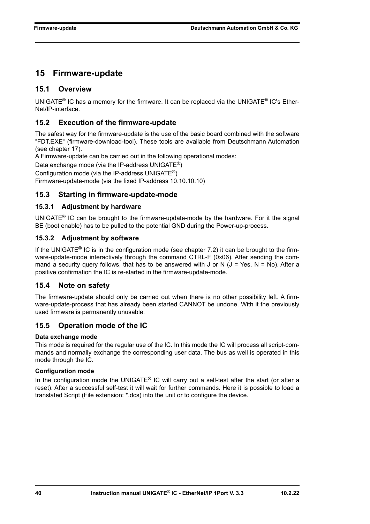# <span id="page-39-0"></span>**15 Firmware-update**

# <span id="page-39-1"></span>**15.1 Overview**

UNIGATE<sup>®</sup> IC has a memory for the firmware. It can be replaced via the UNIGATE<sup>®</sup> IC's Ether-Net/IP-interface.

# <span id="page-39-2"></span>**15.2 Execution of the firmware-update**

The safest way for the firmware-update is the use of the basic board combined with the software "FDT.EXE" (firmware-download-tool). These tools are available from Deutschmann Automation (see [chapter 17](#page-43-0)).

A Firmware-update can be carried out in the following operational modes:

Data exchange mode (via the IP-address UNIGATE®)

Configuration mode (via the IP-address UNIGATE®)

Firmware-update-mode (via the fixed IP-address 10.10.10.10)

### <span id="page-39-3"></span>**15.3 Starting in firmware-update-mode**

### <span id="page-39-4"></span>**15.3.1 Adjustment by hardware**

UNIGATE<sup>®</sup> IC can be brought to the firmware-update-mode by the hardware. For it the signal BE (boot enable) has to be pulled to the potential GND during the Power-up-process.

### <span id="page-39-5"></span>**15.3.2 Adjustment by software**

If the UNIGATE<sup>®</sup> IC is in the configuration mode (see [chapter 7.2\)](#page-26-2) it can be brought to the firmware-update-mode interactively through the command CTRL-F (0x06). After sending the command a security query follows, that has to be answered with J or N  $(J = Yes, N = No)$ . After a positive confirmation the IC is re-started in the firmware-update-mode.

# <span id="page-39-6"></span>**15.4 Note on safety**

The firmware-update should only be carried out when there is no other possibility left. A firmware-update-process that has already been started CANNOT be undone. With it the previously used firmware is permanently unusable.

# <span id="page-39-7"></span>**15.5 Operation mode of the IC**

### **Data exchange mode**

This mode is required for the regular use of the IC. In this mode the IC will process all script-commands and normally exchange the corresponding user data. The bus as well is operated in this mode through the IC.

#### **Configuration mode**

In the configuration mode the UNIGATE® IC will carry out a self-test after the start (or after a reset). After a successful self-test it will wait for further commands. Here it is possible to load a translated Script (File extension: \*.dcs) into the unit or to configure the device.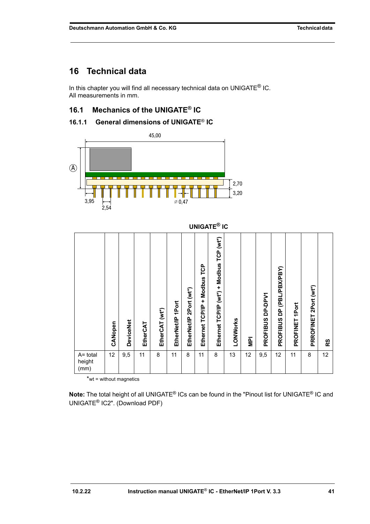# <span id="page-40-0"></span>**16 Technical data**

In this chapter you will find all necessary technical data on UNIGATE $^{\circledR}$  IC. All measurements in mm.

# <span id="page-40-1"></span>**16.1 Mechanics of the UNIGATE® IC**

# <span id="page-40-2"></span>**16.1.1 General dimensions of UNIGATE**® **IC**

![](_page_40_Figure_6.jpeg)

|                            |         |                  |          |                |                      |                            |                                            | <b>UNIGATE® IC</b>                       |          |            |                            |                                                    |                |                       |    |
|----------------------------|---------|------------------|----------|----------------|----------------------|----------------------------|--------------------------------------------|------------------------------------------|----------|------------|----------------------------|----------------------------------------------------|----------------|-----------------------|----|
|                            | CANopen | <b>DeviceNet</b> | EtherCAT | EtherCAT (wt*) | 1Port<br>EtherNet/IP | 2Port (wt*)<br>EtherNet/IP | Modbus TCP<br>$\ddot{}$<br>Ethernet TCP/IP | Ethernet TCP/IP (wt*) + Modbus TCP (wt*) | LONWorks | <b>NPI</b> | DP-DPV1<br><b>PROFIBUS</b> | (PBL/PBX/PBY)<br>$\overline{a}$<br><b>PROFIBUS</b> | PROFINET 1Port | PRROFINET 2Port (wt*) | RS |
| A= total<br>height<br>(mm) | 12      | 9,5              | 11       | 8              | 11                   | 8                          | 11                                         | 8                                        | 13       | 12         | 9,5                        | 12                                                 | 11             | 8                     | 12 |

 $*$ wt = without magnetics

**Note:** The total height of all UNIGATE® ICs can be found in the "Pinout list for UNIGATE® IC and UNIGATE[® IC2". \(Download PDF\)](https://www.deutschmann.de/downloads//Support/Unigate-IC/UNIGATE%20IC%20and%20IC2%20device%20family%20pinout.pdf)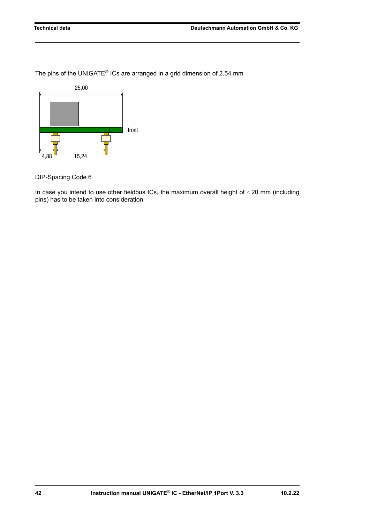The pins of the UNIGATE® ICs are arranged in a grid dimension of 2.54 mm

![](_page_41_Figure_3.jpeg)

DIP-Spacing Code 6

In case you intend to use other fieldbus ICs, the maximum overall height of  $\leq$  20 mm (including pins) has to be taken into consideration.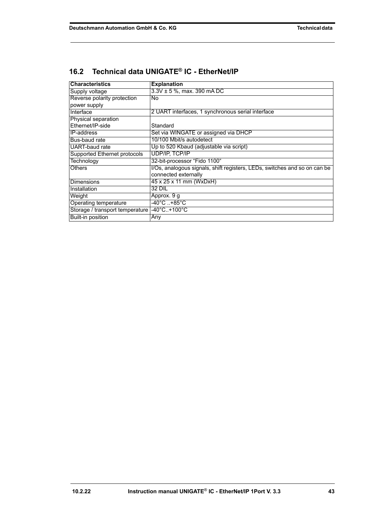| <b>Characteristics</b>          | <b>Explanation</b>                                                        |  |  |  |  |
|---------------------------------|---------------------------------------------------------------------------|--|--|--|--|
| Supply voltage                  | $3.3V \pm 5$ %, max. 390 mA DC                                            |  |  |  |  |
| Reverse polarity protection     | <b>No</b>                                                                 |  |  |  |  |
| power supply                    |                                                                           |  |  |  |  |
| Interface                       | 2 UART interfaces, 1 synchronous serial interface                         |  |  |  |  |
| Physical separation             |                                                                           |  |  |  |  |
| Fthernet/IP-side                | Standard                                                                  |  |  |  |  |
| IP-address                      | Set via WINGATE or assigned via DHCP                                      |  |  |  |  |
| Bus-baud rate                   | 10/100 Mbit/s autodetect                                                  |  |  |  |  |
| <b>UART-baud</b> rate           | Up to 520 Kbaud (adjustable via script)                                   |  |  |  |  |
| Supported Ethernet protocols    | <b>UDP/IP, TCP/IP</b>                                                     |  |  |  |  |
| Technology                      | 32-bit-processor "Fido 1100"                                              |  |  |  |  |
| <b>Others</b>                   | I/Os, analogous signals, shift registers, LEDs, switches and so on can be |  |  |  |  |
|                                 | connected externally                                                      |  |  |  |  |
| <b>Dimensions</b>               | 45 x 25 x 11 mm (WxDxH)                                                   |  |  |  |  |
| Installation                    | 32 DIL                                                                    |  |  |  |  |
| Weight                          | Approx. 9 g                                                               |  |  |  |  |
| Operating temperature           | -40°C +85°C                                                               |  |  |  |  |
| Storage / transport temperature | $-40^{\circ}$ C+100 $^{\circ}$ C                                          |  |  |  |  |
| <b>Built-in position</b>        | Any                                                                       |  |  |  |  |

# <span id="page-42-0"></span>**16.2 Technical data UNIGATE® IC - EtherNet /IP**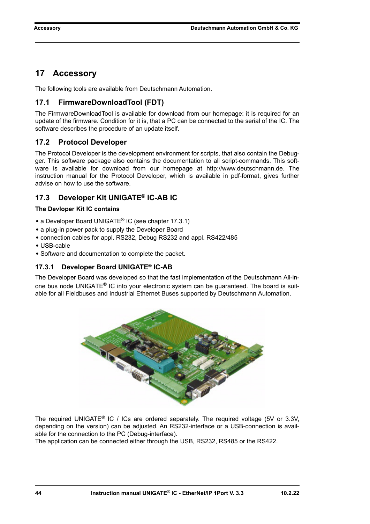# <span id="page-43-0"></span>**17 Accessory**

The following tools are available from Deutschmann Automation.

# <span id="page-43-1"></span>**17.1 FirmwareDownloadTool (FDT)**

The FirmwareDownloadTool is available for download from our homepage: it is required for an update of the firmware. Condition for it is, that a PC can be connected to the serial of the IC. The software describes the procedure of an update itself.

# <span id="page-43-2"></span>**17.2 Protocol Developer**

The Protocol Developer is the development environment for scripts, that also contain the Debugger. This software package also contains the documentation to all script-commands. This software is available for download from our homepage at http://www.deutschmann.de. The instruction manual for the Protocol Developer, which is available in pdf-format, gives further advise on how to use the software.

# <span id="page-43-3"></span>**17.3 Developer Kit UNIGATE® IC-AB IC**

#### **The Devloper Kit IC contains**

- **•** a Developer Board UNIGATE® IC (see [chapter 17.3.1\)](#page-43-4)
- **•** a plug-in power pack to supply the Developer Board
- **•** connection cables for appl. RS232, Debug RS232 and appl. RS422/485
- **•** USB-cable
- **•** Software and documentation to complete the packet.

### <span id="page-43-4"></span>**17.3.1 Developer Board UNIGATE® IC-AB**

The Developer Board was developed so that the fast implementation of the Deutschmann All-inone bus node UNIGATE<sup>®</sup> IC into your electronic system can be quaranteed. The board is suitable for all Fieldbuses and Industrial Ethernet Buses supported by Deutschmann Automation.

![](_page_43_Picture_17.jpeg)

The required UNIGATE<sup>®</sup> IC / ICs are ordered separately. The required voltage (5V or 3.3V, depending on the version) can be adjusted. An RS232-interface or a USB-connection is available for the connection to the PC (Debug-interface).

The application can be connected either through the USB, RS232, RS485 or the RS422.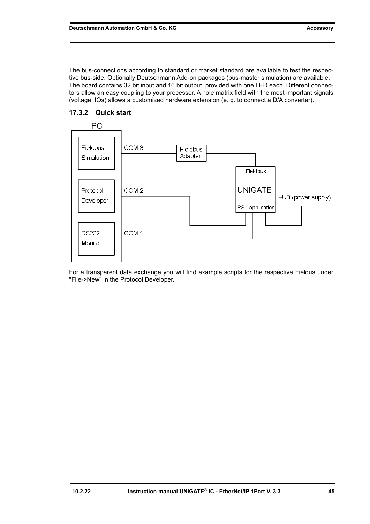The bus-connections according to standard or market standard are available to test the respective bus-side. Optionally Deutschmann Add-on packages (bus-master simulation) are available. The board contains 32 bit input and 16 bit output, provided with one LED each. Different connectors allow an easy coupling to your processor. A hole matrix field with the most important signals (voltage, IOs) allows a customized hardware extension (e. g. to connect a D/A converter).

![](_page_44_Figure_2.jpeg)

## <span id="page-44-0"></span>**17.3.2 Quick start**

For a transparent data exchange you will find example scripts for the respective Fieldus under "File->New" in the Protocol Developer.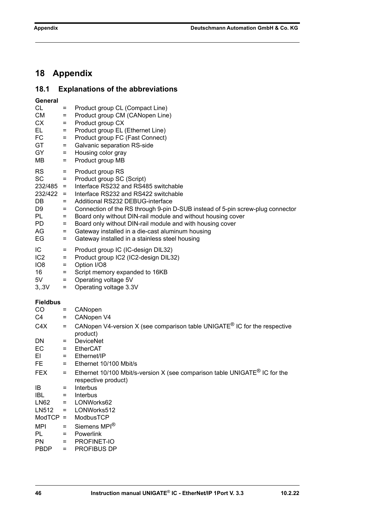# <span id="page-45-0"></span>**18 Appendix**

# <span id="page-45-1"></span>**18.1 Explanations of the abbreviations**

| General         |         |                                                                                                   |
|-----------------|---------|---------------------------------------------------------------------------------------------------|
| CL              | $=$     | Product group CL (Compact Line)                                                                   |
| <b>CM</b>       | $=$     | Product group CM (CANopen Line)                                                                   |
| <b>CX</b>       | $=$     | Product group CX                                                                                  |
| EL.             | $=$     | Product group EL (Ethernet Line)                                                                  |
| FC              | $=$     | Product group FC (Fast Connect)                                                                   |
| GT              | $=$     | Galvanic separation RS-side                                                                       |
| GY              | $=$     | Housing color gray                                                                                |
| MВ              | $=$     | Product group MB                                                                                  |
| <b>RS</b>       | $=$     | Product group RS                                                                                  |
| <b>SC</b>       | $=$     | Product group SC (Script)                                                                         |
| $232/485 =$     |         | Interface RS232 and RS485 switchable                                                              |
| $232/422 =$     |         | Interface RS232 and RS422 switchable                                                              |
| DB              | $=$     | Additional RS232 DEBUG-interface                                                                  |
| D9              | $=$     | Connection of the RS through 9-pin D-SUB instead of 5-pin screw-plug connector                    |
| PL.             | $=$     | Board only without DIN-rail module and without housing cover                                      |
| <b>PD</b>       | $=$     | Board only without DIN-rail module and with housing cover                                         |
| AG              | $=$     | Gateway installed in a die-cast aluminum housing                                                  |
| EG              | $=$     | Gateway installed in a stainless steel housing                                                    |
| IC              | $=$     | Product group IC (IC-design DIL32)                                                                |
| IC <sub>2</sub> | $=$     | Product group IC2 (IC2-design DIL32)                                                              |
| IO <sub>8</sub> | $=$     | Option I/O8                                                                                       |
| 16              | $=$     | Script memory expanded to 16KB                                                                    |
| 5V              | $=$     | Operating voltage 5V                                                                              |
| 3, .3V          | $=$     | Operating voltage 3.3V                                                                            |
|                 |         |                                                                                                   |
| <b>Fieldbus</b> |         |                                                                                                   |
| CO              | $=$     | CANopen                                                                                           |
| C4              | $=$     | CANopen V4                                                                                        |
| C4X             | $=$     | CANopen V4-version X (see comparison table UNIGATE <sup>®</sup> IC for the respective<br>product) |
| DN.             | $=$     | <b>DeviceNet</b>                                                                                  |
| EC              | $=$     | <b>EtherCAT</b>                                                                                   |
| EL              | $=$ $-$ | Ethernet/IP                                                                                       |
| FE.             | $=$     | Ethernet 10/100 Mbit/s                                                                            |
| <b>FEX</b>      | $=$     | Ethernet 10/100 Mbit/s-version X (see comparison table UNIGATE <sup>®</sup> IC for the            |
|                 |         | respective product)                                                                               |
| IB              | $=$     | Interbus                                                                                          |
| <b>IBL</b>      | $=$     | Interbus                                                                                          |
| <b>LN62</b>     | $=$     | LONWorks62                                                                                        |
| LN512           | $=$     | LONWorks512                                                                                       |
| $ModTCP =$      |         | ModbusTCP                                                                                         |

- MPI = Siemens MPI<sup>®</sup><br>PL = Powerlink PL = Powerlink<br>PN = PROFINE = PROFINET-IO
- PBDP = PROFIBUS DP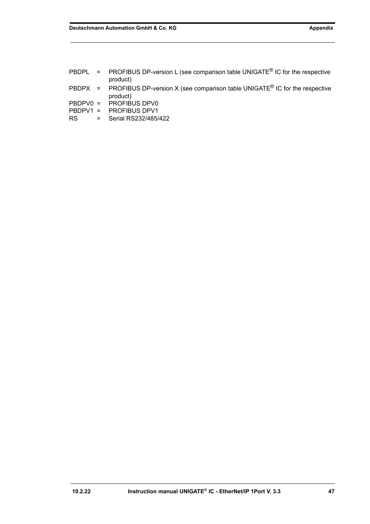|     | PBDPL = PROFIBUS DP-version L (see comparison table UNIGATE <sup>®</sup> IC for the respective<br>product) |
|-----|------------------------------------------------------------------------------------------------------------|
|     | PBDPX = PROFIBUS DP-version X (see comparison table UNIGATE <sup>®</sup> IC for the respective<br>product) |
|     | PBDPV0 = PROFIBUS DPV0                                                                                     |
|     | $PBDPV1 = PROFIBUS DPV1$                                                                                   |
| RS. | $=$ Serial RS232/485/422                                                                                   |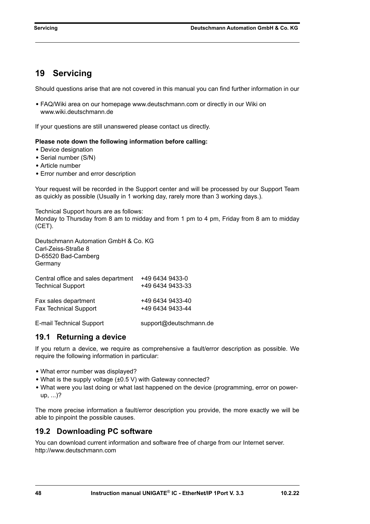# <span id="page-47-0"></span>**19 Servicing**

Should questions arise that are not covered in this manual you can find further information in our

**•** [FAQ/Wiki area on our homepage www.deutschmann.com or directly in our Wiki on](http://www.deutschmann.com)  [www.wiki.deutschmann.de](http://wiki.deutschmann.de/index.php?title=Deutschmann_Wiki/en)

If your questions are still unanswered please contact us directly.

#### **Please note down the following information before calling:**

- **•** Device designation
- **•** Serial number (S/N)
- **•** Article number
- **•** Error number and error description

Your request will be recorded in the Support center and will be processed by our Support Team as quickly as possible (Usually in 1 working day, rarely more than 3 working days.).

Technical Support hours are as follows: Monday to Thursday from 8 am to midday and from 1 pm to 4 pm, Friday from 8 am to midday (CET).

Deutschmann Automation GmbH & Co. KG Carl-Zeiss-Straße 8 D-65520 Bad-Camberg **Germany** 

| Central office and sales department | +49 6434 9433-0  |
|-------------------------------------|------------------|
| <b>Technical Support</b>            | +49 6434 9433-33 |
| Fax sales department                | +49 6434 9433-40 |
| <b>Fax Technical Support</b>        | +49 6434 9433-44 |

[E-mail Technical Support support@deutschmann.de](mailto:hotline@deutschmann.de)

### <span id="page-47-1"></span>**19.1 Returning a device**

If you return a device, we require as comprehensive a fault/error description as possible. We require the following information in particular:

- **•** What error number was displayed?
- **•** What is the supply voltage (±0.5 V) with Gateway connected?
- What were you last doing or what last happened on the device (programming, error on powerup, ...)?

The more precise information a fault/error description you provide, the more exactly we will be able to pinpoint the possible causes.

# <span id="page-47-2"></span>**19.2 Downloading PC software**

You can download current information and software free of charge from our Internet server. <http://www.deutschmann.com>